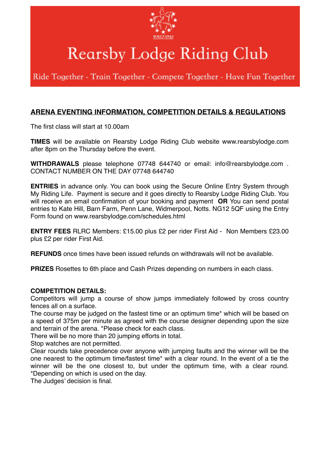

# Rearsby Lodge Riding Club

Ride Together - Train Together - Compete Together - Have Fun Together

## **ARENA EVENTING INFORMATION, COMPETITION DETAILS & REGULATIONS**

The first class will start at 10.00am

**TIMES** will be available on Rearsby Lodge Riding Club website www.rearsbylodge.com after 8pm on the Thursday before the event.

**WITHDRAWALS** please telephone 07748 644740 or email: info@rearsbylodge.com . CONTACT NUMBER ON THE DAY 07748 644740

**ENTRIES** in advance only. You can book using the Secure Online Entry System through My Riding Life. Payment is secure and it goes directly to Rearsby Lodge Riding Club. You will receive an email confirmation of your booking and payment **OR** You can send postal entries to Kate Hill, Barn Farm, Penn Lane, Widmerpool, Notts. NG12 5QF using the Entry Form found on www.rearsbylodge.com/schedules.html

**ENTRY FEES** RLRC Members: £15.00 plus £2 per rider First Aid - Non Members £23.00 plus £2 per rider First Aid.

**REFUNDS** once times have been issued refunds on withdrawals will not be available.

**PRIZES** Rosettes to 6th place and Cash Prizes depending on numbers in each class.

#### **COMPETITION DETAILS:**

Competitors will jump a course of show jumps immediately followed by cross country fences all on a surface.

The course may be judged on the fastest time or an optimum time\* which will be based on a speed of 375m per minute as agreed with the course designer depending upon the size and terrain of the arena. \*Please check for each class.

There will be no more than 20 jumping efforts in total.

Stop watches are not permitted.

Clear rounds take precedence over anyone with jumping faults and the winner will be the one nearest to the optimum time/fastest time\* with a clear round. In the event of a tie the winner will be the one closest to, but under the optimum time, with a clear round. \*Depending on which is used on the day.

The Judges' decision is final.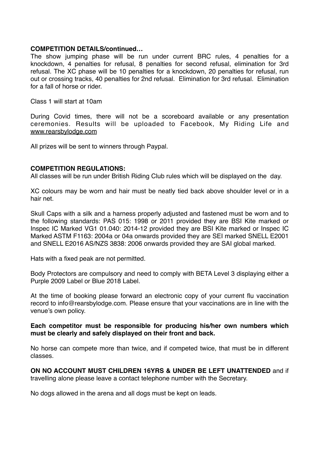#### **COMPETITION DETAILS/continued…**

The show jumping phase will be run under current BRC rules, 4 penalties for a knockdown, 4 penalties for refusal, 8 penalties for second refusal, elimination for 3rd refusal. The XC phase will be 10 penalties for a knockdown, 20 penalties for refusal, run out or crossing tracks, 40 penalties for 2nd refusal. Elimination for 3rd refusal. Elimination for a fall of horse or rider.

Class 1 will start at 10am

During Covid times, there will not be a scoreboard available or any presentation ceremonies. Results will be uploaded to Facebook, My Riding Life and [www.rearsbylodge.com](http://www.rearsbylodge.com)

All prizes will be sent to winners through Paypal.

#### **COMPETITION REGULATIONS:**

All classes will be run under British Riding Club rules which will be displayed on the day.

XC colours may be worn and hair must be neatly tied back above shoulder level or in a hair net.

Skull Caps with a silk and a harness properly adjusted and fastened must be worn and to the following standards: PAS 015: 1998 or 2011 provided they are BSI Kite marked or Inspec IC Marked VG1 01.040: 2014-12 provided they are BSI Kite marked or Inspec IC Marked ASTM F1163: 2004a or 04a onwards provided they are SEI marked SNELL E2001 and SNELL E2016 AS/NZS 3838: 2006 onwards provided they are SAI global marked.

Hats with a fixed peak are not permitted.

Body Protectors are compulsory and need to comply with BETA Level 3 displaying either a Purple 2009 Label or Blue 2018 Label.

At the time of booking please forward an electronic copy of your current flu vaccination record to info@rearsbylodge.com. Please ensure that your vaccinations are in line with the venue's own policy.

#### **Each competitor must be responsible for producing his/her own numbers which must be clearly and safely displayed on their front and back.**

No horse can compete more than twice, and if competed twice, that must be in different classes.

**ON NO ACCOUNT MUST CHILDREN 16YRS & UNDER BE LEFT UNATTENDED** and if travelling alone please leave a contact telephone number with the Secretary.

No dogs allowed in the arena and all dogs must be kept on leads.